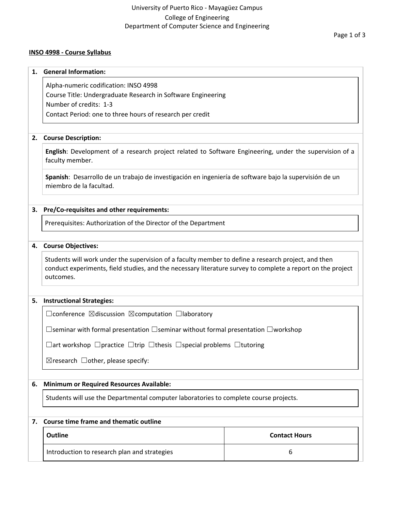### University of Puerto Rico - Mayagüez Campus College of Engineering Department of Computer Science and Engineering

#### **INSO 4998 - Course Syllabus**

# **1. General Information:** Alpha-numeric codification: INSO 4998 Course Title: Undergraduate Research in Software Engineering Number of credits: 1-3 Contact Period: one to three hours of research per credit **2. Course Description: English**: Development of a research project related to Software Engineering, under the supervision of a faculty member. **Spanish**: Desarrollo de un trabajo de investigación en ingeniería de software bajo la supervisión de un miembro de la facultad. **3. Pre/Co-requisites and other requirements:** Prerequisites: Authorization of the Director of the Department **4. Course Objectives:** Students will work under the supervision of a faculty member to define a research project, and then conduct experiments, field studies, and the necessary literature survey to complete a report on the project outcomes. **5. Instructional Strategies:** ☐conference ☒discussion ☒computation ☐laboratory ☐seminar with formal presentation ☐seminar without formal presentation ☐workshop ☐art workshop ☐practice ☐trip ☐thesis ☐special problems ☐tutoring  $\boxtimes$ research  $\Box$ other, please specify: **6. Minimum or Required Resources Available:** Students will use the Departmental computer laboratories to complete course projects. **7. Course time frame and thematic outline Outline Contact Hours** Introduction to research plan and strategies and strategies and strategies and strategies and strategies of  $6\,$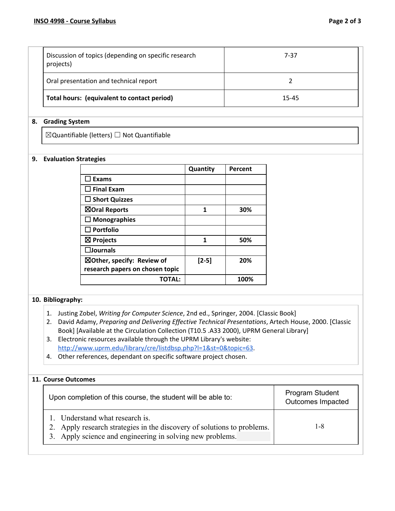| Discussion of topics (depending on specific research<br>projects) | 7-37  |  |
|-------------------------------------------------------------------|-------|--|
| Oral presentation and technical report                            |       |  |
| Total hours: (equivalent to contact period)                       | 15-45 |  |

#### **8. Grading System**

☒Quantifiable (letters) ☐ Not Quantifiable

#### **9. Evaluation Strategies**

|                                 | Quantity | Percent |
|---------------------------------|----------|---------|
| $\sqsupset$ Exams               |          |         |
| $\Box$ Final Exam               |          |         |
| $\Box$ Short Quizzes            |          |         |
| ⊠Oral Reports                   | 1        | 30%     |
| $\Box$ Monographies             |          |         |
| $\Box$ Portfolio                |          |         |
| $\boxtimes$ Projects            | 1        | 50%     |
| $\square$ Journals              |          |         |
| ⊠Other, specify: Review of      | $[2-5]$  | 20%     |
| research papers on chosen topic |          |         |
| ΤΟΤΑΙ :                         |          | 100%    |

#### **10. Bibliography:**

- 1. Justing Zobel, *Writing for Computer Science*, 2nd ed., Springer, 2004. [Classic Book]
- 2. David Adamy, *Preparing and Delivering Effective Technical Presentations*, Artech House, 2000. [Classic Book] [Available at the Circulation Collection (T10.5 .A33 2000), UPRM General Library]
- 3. Electronic resources available through the UPRM Library's website: <http://www.uprm.edu/library/cre/listdbsp.php?l=1&st=0&topic=63>.
- 4. Other references, dependant on specific software project chosen.

## **11. Course Outcomes**

| Upon completion of this course, the student will be able to:                                                                                                            | Program Student<br>Outcomes Impacted |
|-------------------------------------------------------------------------------------------------------------------------------------------------------------------------|--------------------------------------|
| 1. Understand what research is.<br>2. Apply research strategies in the discovery of solutions to problems.<br>3. Apply science and engineering in solving new problems. | 1-8                                  |